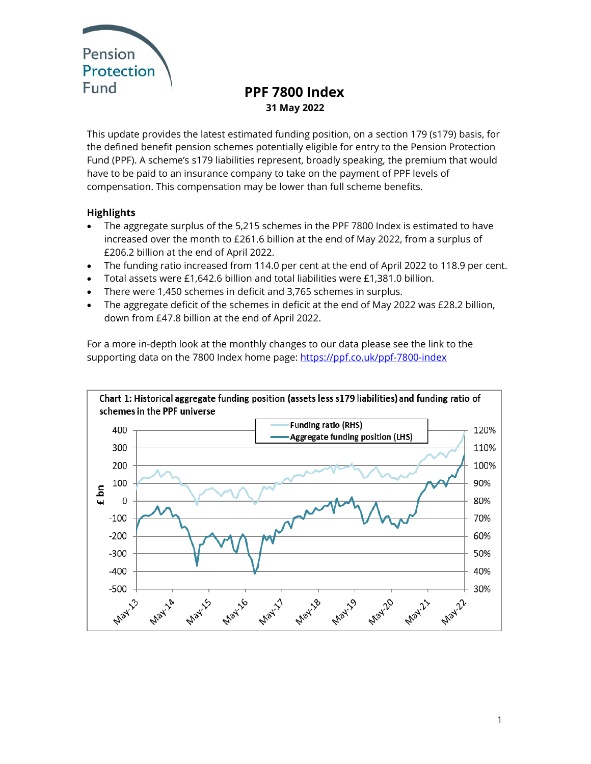

# **PPF 7800 Index 31 May 2022**

This update provides the latest estimated funding position, on a section 179 (s179) basis, for the defined benefit pension schemes potentially eligible for entry to the Pension Protection Fund (PPF). A scheme's s179 liabilities represent, broadly speaking, the premium that would have to be paid to an insurance company to take on the payment of PPF levels of compensation. This compensation may be lower than full scheme benefits.

# **Highlights**

- The aggregate surplus of the 5,215 schemes in the PPF 7800 Index is estimated to have increased over the month to £261.6 billion at the end of May 2022, from a surplus of £206.2 billion at the end of April 2022.
- The funding ratio increased from 114.0 per cent at the end of April 2022 to 118.9 per cent.
- Total assets were £1,642.6 billion and total liabilities were £1,381.0 billion.
- There were 1,450 schemes in deficit and 3,765 schemes in surplus.
- The aggregate deficit of the schemes in deficit at the end of May 2022 was £28.2 billion, down from £47.8 billion at the end of April 2022.

For a more in-depth look at the monthly changes to our data please see the link to the supporting data on the 7800 Index home page: <https://ppf.co.uk/ppf-7800-index>

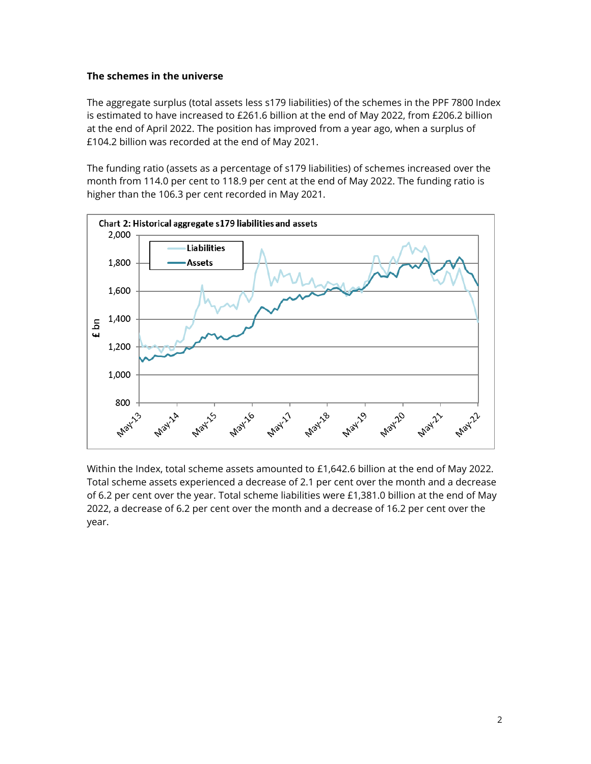# **The schemes in the universe**

The aggregate surplus (total assets less s179 liabilities) of the schemes in the PPF 7800 Index is estimated to have increased to £261.6 billion at the end of May 2022, from £206.2 billion at the end of April 2022. The position has improved from a year ago, when a surplus of £104.2 billion was recorded at the end of May 2021.

The funding ratio (assets as a percentage of s179 liabilities) of schemes increased over the month from 114.0 per cent to 118.9 per cent at the end of May 2022. The funding ratio is higher than the 106.3 per cent recorded in May 2021.



Within the Index, total scheme assets amounted to £1,642.6 billion at the end of May 2022. Total scheme assets experienced a decrease of 2.1 per cent over the month and a decrease of 6.2 per cent over the year. Total scheme liabilities were £1,381.0 billion at the end of May 2022, a decrease of 6.2 per cent over the month and a decrease of 16.2 per cent over the year.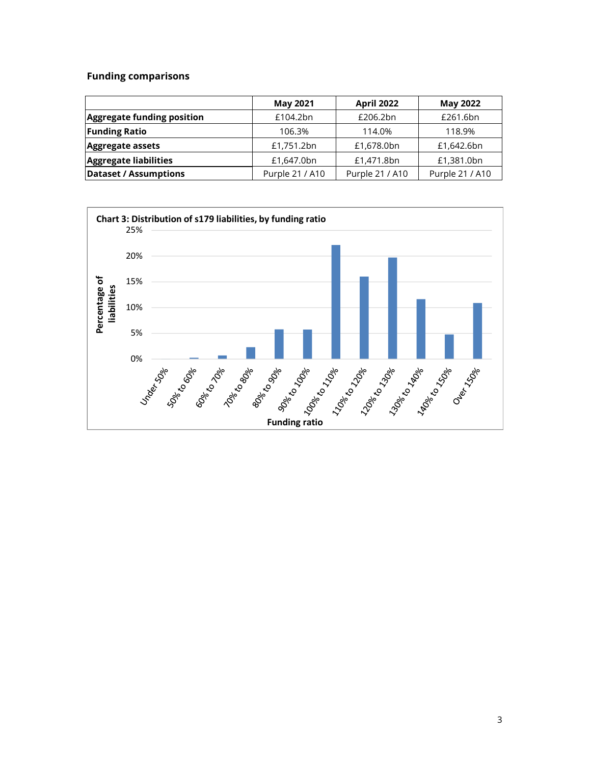# **Funding comparisons**

|                                   | <b>May 2021</b> | <b>April 2022</b> | <b>May 2022</b> |
|-----------------------------------|-----------------|-------------------|-----------------|
| <b>Aggregate funding position</b> | £104.2bn        | £206.2bn          | £261.6bn        |
| <b>Funding Ratio</b>              | 106.3%          | 114.0%            | 118.9%          |
| Aggregate assets                  | £1,751.2bn      | £1,678.0bn        | £1,642.6bn      |
| Aggregate liabilities             | £1,647.0bn      | £1,471.8bn        | £1,381.0bn      |
| <b>Dataset / Assumptions</b>      | Purple 21 / A10 | Purple 21 / A10   | Purple 21 / A10 |

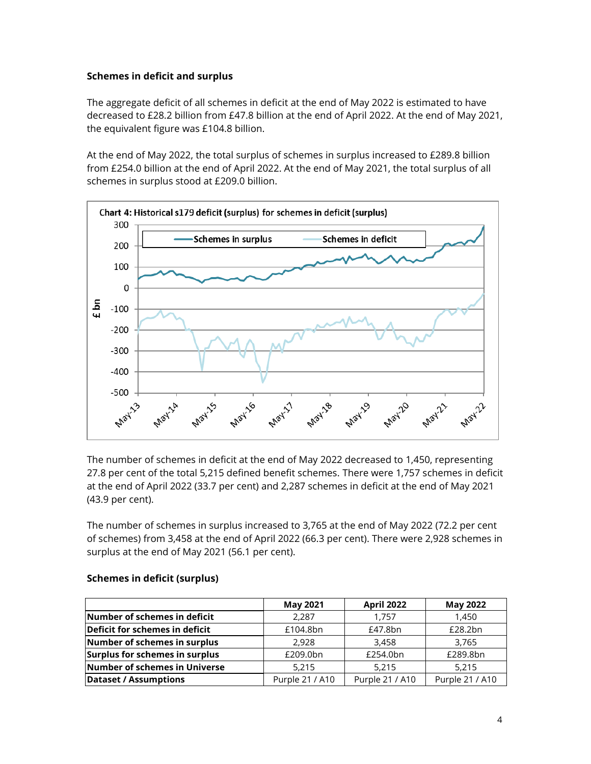# **Schemes in deficit and surplus**

The aggregate deficit of all schemes in deficit at the end of May 2022 is estimated to have decreased to £28.2 billion from £47.8 billion at the end of April 2022. At the end of May 2021, the equivalent figure was £104.8 billion.

At the end of May 2022, the total surplus of schemes in surplus increased to £289.8 billion from £254.0 billion at the end of April 2022. At the end of May 2021, the total surplus of all schemes in surplus stood at £209.0 billion.



The number of schemes in deficit at the end of May 2022 decreased to 1,450, representing 27.8 per cent of the total 5,215 defined benefit schemes. There were 1,757 schemes in deficit at the end of April 2022 (33.7 per cent) and 2,287 schemes in deficit at the end of May 2021 (43.9 per cent).

The number of schemes in surplus increased to 3,765 at the end of May 2022 (72.2 per cent of schemes) from 3,458 at the end of April 2022 (66.3 per cent). There were 2,928 schemes in surplus at the end of May 2021 (56.1 per cent).

|                                | <b>May 2021</b> | <b>April 2022</b> | <b>May 2022</b> |
|--------------------------------|-----------------|-------------------|-----------------|
| Number of schemes in deficit   | 2.287           | 1.757             | 1.450           |
| Deficit for schemes in deficit | £104.8bn        | £47.8bn           | £28.2bn         |
| Number of schemes in surplus   | 2.928           | 3.458             | 3.765           |
| Surplus for schemes in surplus | £209.0bn        | £254.0bn          | £289.8bn        |
| Number of schemes in Universe  | 5,215           | 5.215             | 5.215           |
| <b>Dataset / Assumptions</b>   | Purple 21 / A10 | Purple 21 / A10   | Purple 21 / A10 |

#### **Schemes in deficit (surplus)**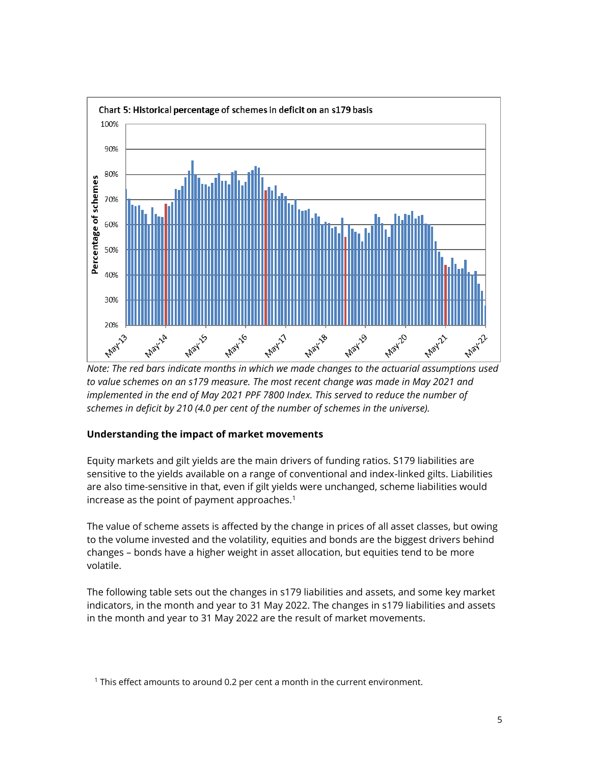

*Note: The red bars indicate months in which we made changes to the actuarial assumptions used to value schemes on an s179 measure. The most recent change was made in May 2021 and implemented in the end of May 2021 PPF 7800 Index. This served to reduce the number of schemes in deficit by 210 (4.0 per cent of the number of schemes in the universe).*

# **Understanding the impact of market movements**

Equity markets and gilt yields are the main drivers of funding ratios. S179 liabilities are sensitive to the yields available on a range of conventional and index-linked gilts. Liabilities are also time-sensitive in that, even if gilt yields were unchanged, scheme liabilities would increase as the point of payment approaches. $1$ 

The value of scheme assets is affected by the change in prices of all asset classes, but owing to the volume invested and the volatility, equities and bonds are the biggest drivers behind changes – bonds have a higher weight in asset allocation, but equities tend to be more volatile.

The following table sets out the changes in s179 liabilities and assets, and some key market indicators, in the month and year to 31 May 2022. The changes in s179 liabilities and assets in the month and year to 31 May 2022 are the result of market movements.

<sup>&</sup>lt;sup>1</sup> This effect amounts to around 0.2 per cent a month in the current environment.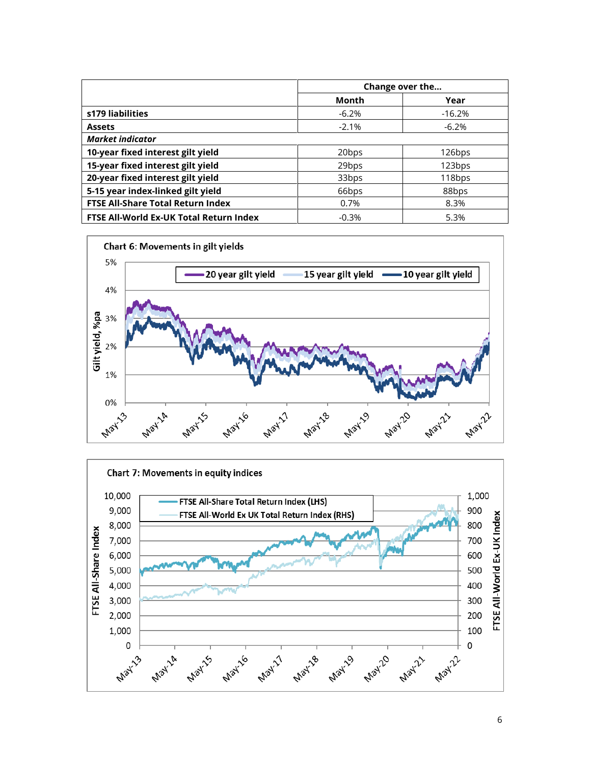|                                          | Change over the   |          |  |  |  |
|------------------------------------------|-------------------|----------|--|--|--|
|                                          | Month             | Year     |  |  |  |
| s179 liabilities                         | $-6.2%$           | $-16.2%$ |  |  |  |
| <b>Assets</b>                            | $-2.1%$           | $-6.2%$  |  |  |  |
| <b>Market indicator</b>                  |                   |          |  |  |  |
| 10-year fixed interest gilt yield        | 20 <sub>bps</sub> | 126bps   |  |  |  |
| 15-year fixed interest gilt yield        | 29 <sub>bps</sub> | 123bps   |  |  |  |
| 20-year fixed interest gilt yield        | 33bps             | 118bps   |  |  |  |
| 5-15 year index-linked gilt yield        | 66bps             | 88bps    |  |  |  |
| <b>FTSE All-Share Total Return Index</b> | 0.7%              | 8.3%     |  |  |  |
| FTSE All-World Ex-UK Total Return Index  | $-0.3%$           | 5.3%     |  |  |  |



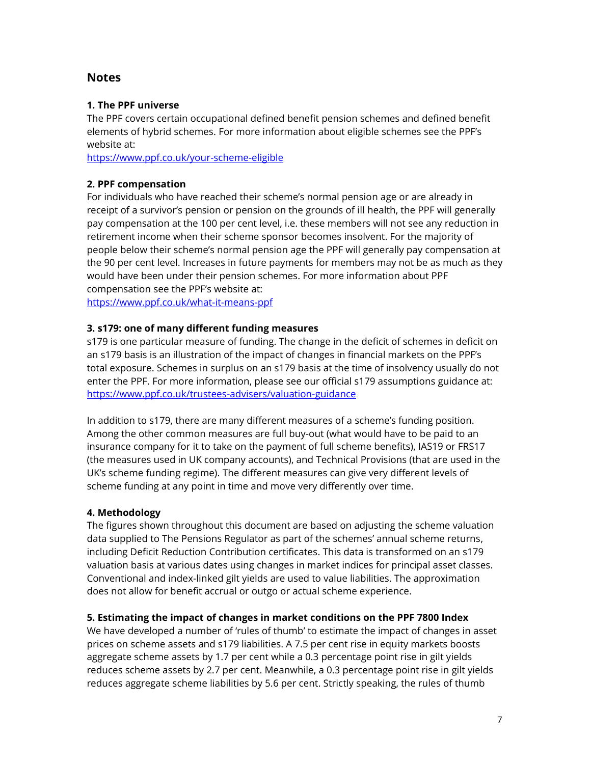# **Notes**

# **1. The PPF universe**

The PPF covers certain occupational defined benefit pension schemes and defined benefit elements of hybrid schemes. For more information about eligible schemes see the PPF's website at:

<https://www.ppf.co.uk/your-scheme-eligible>

## **2. PPF compensation**

For individuals who have reached their scheme's normal pension age or are already in receipt of a survivor's pension or pension on the grounds of ill health, the PPF will generally pay compensation at the 100 per cent level, i.e. these members will not see any reduction in retirement income when their scheme sponsor becomes insolvent. For the majority of people below their scheme's normal pension age the PPF will generally pay compensation at the 90 per cent level. Increases in future payments for members may not be as much as they would have been under their pension schemes. For more information about PPF compensation see the PPF's website at:

<https://www.ppf.co.uk/what-it-means-ppf>

#### **3. s179: one of many different funding measures**

s179 is one particular measure of funding. The change in the deficit of schemes in deficit on an s179 basis is an illustration of the impact of changes in financial markets on the PPF's total exposure. Schemes in surplus on an s179 basis at the time of insolvency usually do not enter the PPF. For more information, please see our official s179 assumptions guidance at: <https://www.ppf.co.uk/trustees-advisers/valuation-guidance>

In addition to s179, there are many different measures of a scheme's funding position. Among the other common measures are full buy-out (what would have to be paid to an insurance company for it to take on the payment of full scheme benefits), IAS19 or FRS17 (the measures used in UK company accounts), and Technical Provisions (that are used in the UK's scheme funding regime). The different measures can give very different levels of scheme funding at any point in time and move very differently over time.

#### **4. Methodology**

The figures shown throughout this document are based on adjusting the scheme valuation data supplied to The Pensions Regulator as part of the schemes' annual scheme returns, including Deficit Reduction Contribution certificates. This data is transformed on an s179 valuation basis at various dates using changes in market indices for principal asset classes. Conventional and index-linked gilt yields are used to value liabilities. The approximation does not allow for benefit accrual or outgo or actual scheme experience.

#### **5. Estimating the impact of changes in market conditions on the PPF 7800 Index**

We have developed a number of 'rules of thumb' to estimate the impact of changes in asset prices on scheme assets and s179 liabilities. A 7.5 per cent rise in equity markets boosts aggregate scheme assets by 1.7 per cent while a 0.3 percentage point rise in gilt yields reduces scheme assets by 2.7 per cent. Meanwhile, a 0.3 percentage point rise in gilt yields reduces aggregate scheme liabilities by 5.6 per cent. Strictly speaking, the rules of thumb